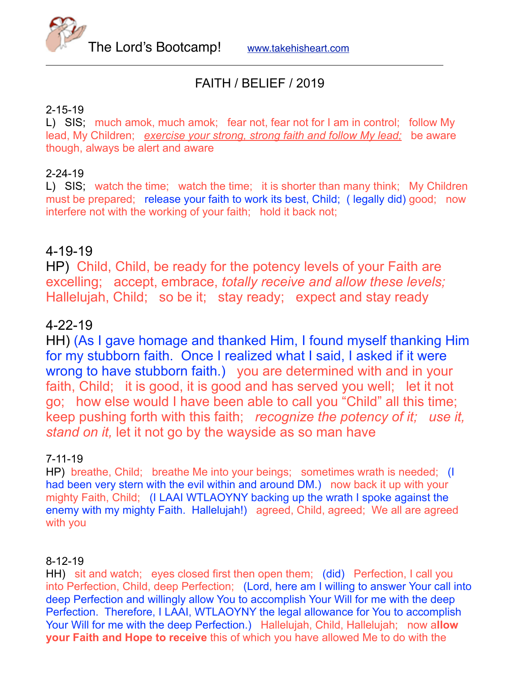

# FAITH / BELIEF / 2019

## 2-15-19

L) SIS; much amok, much amok; fear not, fear not for I am in control; follow My lead, My Children; *exercise your strong, strong faith and follow My lead;* be aware though, always be alert and aware

## 2-24-19

L) SIS; watch the time; watch the time; it is shorter than many think; My Children must be prepared; release your faith to work its best, Child; ( legally did) good; now interfere not with the working of your faith; hold it back not;

## 4-19-19

HP) Child, Child, be ready for the potency levels of your Faith are excelling; accept, embrace, *totally receive and allow these levels;* Hallelujah, Child; so be it; stay ready; expect and stay ready

## 4-22-19

HH) (As I gave homage and thanked Him, I found myself thanking Him for my stubborn faith. Once I realized what I said, I asked if it were wrong to have stubborn faith.) you are determined with and in your faith, Child; it is good, it is good and has served you well; let it not go; how else would I have been able to call you "Child" all this time; keep pushing forth with this faith; *recognize the potency of it; use it, stand on it,* let it not go by the wayside as so man have

## 7-11-19

HP) breathe, Child; breathe Me into your beings; sometimes wrath is needed; (I had been very stern with the evil within and around DM.) now back it up with your mighty Faith, Child; (I LAAI WTLAOYNY backing up the wrath I spoke against the enemy with my mighty Faith. Hallelujah!) agreed, Child, agreed; We all are agreed with you

## 8-12-19

HH) sit and watch; eyes closed first then open them; (did) Perfection, I call you into Perfection, Child, deep Perfection; (Lord, here am I willing to answer Your call into deep Perfection and willingly allow You to accomplish Your Will for me with the deep Perfection. Therefore, I LAAI, WTLAOYNY the legal allowance for You to accomplish Your Will for me with the deep Perfection.) Hallelujah, Child, Hallelujah; now a**llow your Faith and Hope to receive** this of which you have allowed Me to do with the